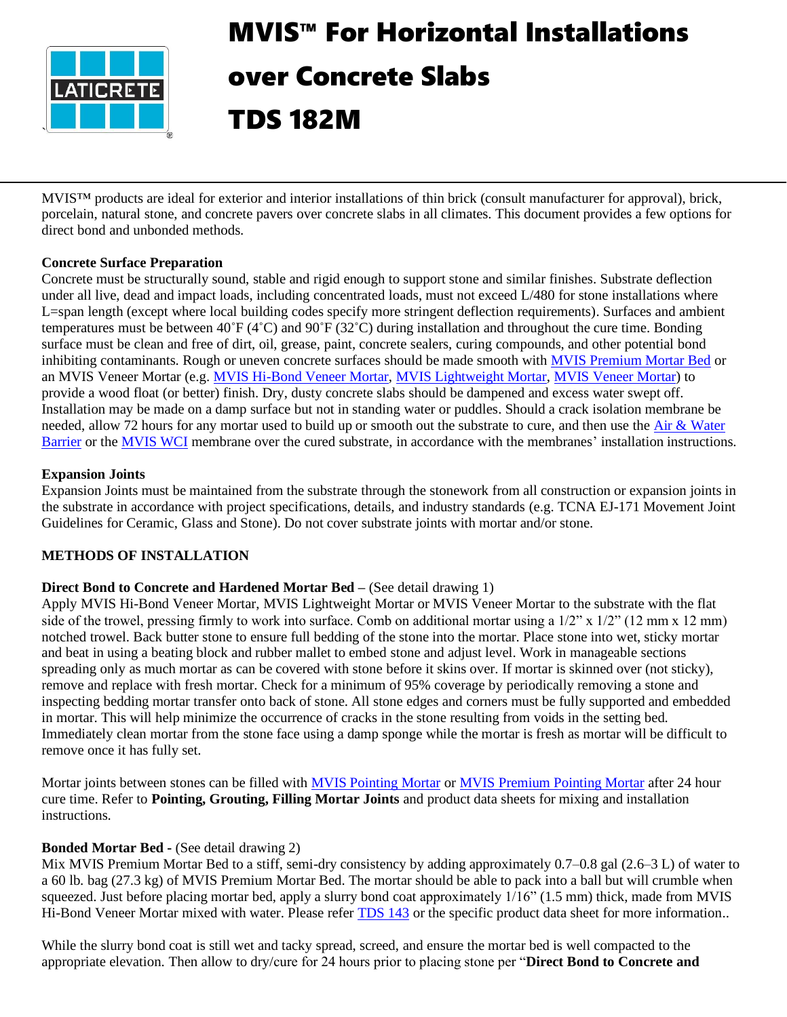

# MVIS™ For Horizontal Installations over Concrete Slabs TDS 182M

MVIS™ products are ideal for exterior and interior installations of thin brick (consult manufacturer for approval), brick, porcelain, natural stone, and concrete pavers over concrete slabs in all climates. This document provides a few options for direct bond and unbonded methods.

# **Concrete Surface Preparation**

Concrete must be structurally sound, stable and rigid enough to support stone and similar finishes. Substrate deflection under all live, dead and impact loads, including concentrated loads, must not exceed L/480 for stone installations where L=span length (except where local building codes specify more stringent deflection requirements). Surfaces and ambient temperatures must be between 40˚F (4˚C) and 90˚F (32˚C) during installation and throughout the cure time. Bonding surface must be clean and free of dirt, oil, grease, paint, concrete sealers, curing compounds, and other potential bond inhibiting contaminants. Rough or uneven concrete surfaces should be made smooth with **MVIS Premium Mortar Bed** or an MVIS Veneer Mortar (e.g. [MVIS Hi-Bond Veneer Mortar,](https://cdn.laticrete.com/~/media/product-documents/product-data-sheets/ds-246.ashx) [MVIS Lightweight Mortar,](https://cdn.laticrete.com/~/media/product-documents/product-data-sheets/lds0601_mvis-lightweight-mortar.ashx) [MVIS Veneer Mortar\)](https://cdn.laticrete.com/~/media/product-documents/product-data-sheets/ds-60.ashx) to provide a wood float (or better) finish. Dry, dusty concrete slabs should be dampened and excess water swept off. Installation may be made on a damp surface but not in standing water or puddles. Should a crack isolation membrane be needed, allow 72 hours for any mortar used to build up or smooth out the substrate to cure, and then use the Air & Water [Barrier](https://cdn.laticrete.com/~/media/product-documents/product-data-sheets/lds6610_mvis-air-water-barrier.ashx?sc_lang=en&vs=1&d=20171212T164444Z) or the [MVIS WCI](https://cdn.laticrete.com/~/media/product-documents/product-data-sheets/ds-36616.ashx?sc_lang=en&vs=1&d=20210216T171313Z) membrane over the cured substrate, in accordance with the membranes' installation instructions.

## **Expansion Joints**

Expansion Joints must be maintained from the substrate through the stonework from all construction or expansion joints in the substrate in accordance with project specifications, details, and industry standards (e.g. TCNA EJ-171 Movement Joint Guidelines for Ceramic, Glass and Stone). Do not cover substrate joints with mortar and/or stone.

# **METHODS OF INSTALLATION**

## **Direct Bond to Concrete and Hardened Mortar Bed –** (See detail drawing 1)

Apply MVIS Hi-Bond Veneer Mortar, MVIS Lightweight Mortar or MVIS Veneer Mortar to the substrate with the flat side of the trowel, pressing firmly to work into surface. Comb on additional mortar using a  $1/2$ " x  $1/2$ " (12 mm x 12 mm) notched trowel. Back butter stone to ensure full bedding of the stone into the mortar. Place stone into wet, sticky mortar and beat in using a beating block and rubber mallet to embed stone and adjust level. Work in manageable sections spreading only as much mortar as can be covered with stone before it skins over. If mortar is skinned over (not sticky), remove and replace with fresh mortar. Check for a minimum of 95% coverage by periodically removing a stone and inspecting bedding mortar transfer onto back of stone. All stone edges and corners must be fully supported and embedded in mortar. This will help minimize the occurrence of cracks in the stone resulting from voids in the setting bed. Immediately clean mortar from the stone face using a damp sponge while the mortar is fresh as mortar will be difficult to remove once it has fully set.

Mortar joints between stones can be filled with [MVIS Pointing Mortar](https://cdn.laticrete.com/~/media/product-documents/product-data-sheets/ds-2280.ashx) or [MVIS Premium Pointing Mortar](https://cdn.laticrete.com/~/media/product-documents/product-data-sheets/lds2740_mvis-premium-pointing-mortar.ashx) after 24 hour cure time. Refer to **Pointing, Grouting, Filling Mortar Joints** and product data sheets for mixing and installation instructions.

# **Bonded Mortar Bed -** (See detail drawing 2)

Mix MVIS Premium Mortar Bed to a stiff, semi-dry consistency by adding approximately 0.7–0.8 gal (2.6–3 L) of water to a 60 lb. bag (27.3 kg) of MVIS Premium Mortar Bed. The mortar should be able to pack into a ball but will crumble when squeezed. Just before placing mortar bed, apply a slurry bond coat approximately  $1/16$ " (1.5 mm) thick, made from MVIS Hi-Bond Veneer Mortar mixed with water. Please refer [TDS 143](https://cdn.laticrete.com/~/media/support-and-downloads/technical-datasheets/tds143.ashx) or the specific product data sheet for more information..

While the slurry bond coat is still wet and tacky spread, screed, and ensure the mortar bed is well compacted to the appropriate elevation. Then allow to dry/cure for 24 hours prior to placing stone per "**Direct Bond to Concrete and**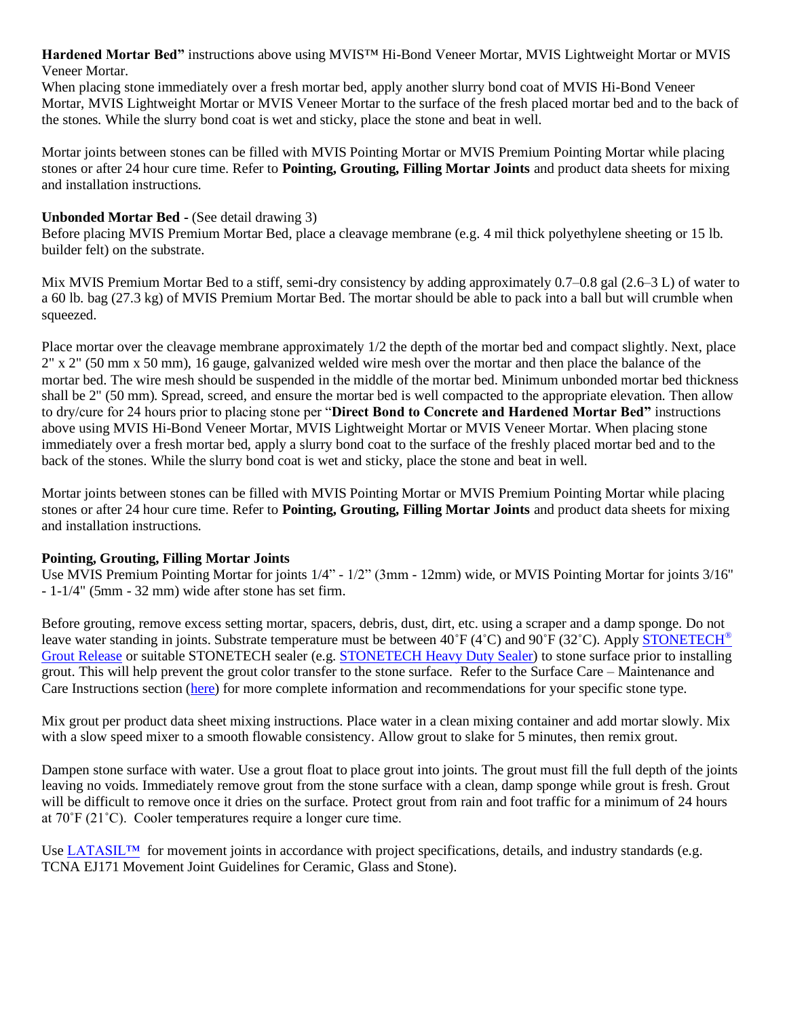**Hardened Mortar Bed"** instructions above using MVIS™ Hi-Bond Veneer Mortar, MVIS Lightweight Mortar or MVIS Veneer Mortar.

When placing stone immediately over a fresh mortar bed, apply another slurry bond coat of MVIS Hi-Bond Veneer Mortar, MVIS Lightweight Mortar or MVIS Veneer Mortar to the surface of the fresh placed mortar bed and to the back of the stones. While the slurry bond coat is wet and sticky, place the stone and beat in well.

Mortar joints between stones can be filled with MVIS Pointing Mortar or MVIS Premium Pointing Mortar while placing stones or after 24 hour cure time. Refer to **Pointing, Grouting, Filling Mortar Joints** and product data sheets for mixing and installation instructions.

## **Unbonded Mortar Bed -** (See detail drawing 3)

Before placing MVIS Premium Mortar Bed, place a cleavage membrane (e.g. 4 mil thick polyethylene sheeting or 15 lb. builder felt) on the substrate.

Mix MVIS Premium Mortar Bed to a stiff, semi-dry consistency by adding approximately 0.7–0.8 gal (2.6–3 L) of water to a 60 lb. bag (27.3 kg) of MVIS Premium Mortar Bed. The mortar should be able to pack into a ball but will crumble when squeezed.

Place mortar over the cleavage membrane approximately 1/2 the depth of the mortar bed and compact slightly. Next, place 2" x 2" (50 mm x 50 mm), 16 gauge, galvanized welded wire mesh over the mortar and then place the balance of the mortar bed. The wire mesh should be suspended in the middle of the mortar bed. Minimum unbonded mortar bed thickness shall be 2" (50 mm). Spread, screed, and ensure the mortar bed is well compacted to the appropriate elevation. Then allow to dry/cure for 24 hours prior to placing stone per "**Direct Bond to Concrete and Hardened Mortar Bed"** instructions above using MVIS Hi-Bond Veneer Mortar, MVIS Lightweight Mortar or MVIS Veneer Mortar. When placing stone immediately over a fresh mortar bed, apply a slurry bond coat to the surface of the freshly placed mortar bed and to the back of the stones. While the slurry bond coat is wet and sticky, place the stone and beat in well.

Mortar joints between stones can be filled with MVIS Pointing Mortar or MVIS Premium Pointing Mortar while placing stones or after 24 hour cure time. Refer to **Pointing, Grouting, Filling Mortar Joints** and product data sheets for mixing and installation instructions.

## **Pointing, Grouting, Filling Mortar Joints**

Use MVIS Premium Pointing Mortar for joints 1/4" - 1/2" (3mm - 12mm) wide, or MVIS Pointing Mortar for joints 3/16" - 1-1/4" (5mm - 32 mm) wide after stone has set firm.

Before grouting, remove excess setting mortar, spacers, debris, dust, dirt, etc. using a scraper and a damp sponge. Do not leave water standing in joints. Substrate temperature must be between  $40\degree F (4\degree C)$  and  $90\degree F (32\degree C)$ . Apply [STONETECH](https://cdn.laticrete.com/~/media/product-documents/product-data-sheets/ds-2135.ashx)<sup>®</sup> [Grout Release](https://cdn.laticrete.com/~/media/product-documents/product-data-sheets/ds-2135.ashx) or suitable STONETECH sealer (e.g. [STONETECH Heavy Duty Sealer\)](https://cdn.laticrete.com/~/media/product-documents/product-data-sheets/ds-279.ashx) to stone surface prior to installing grout. This will help prevent the grout color transfer to the stone surface. Refer to the Surface Care – Maintenance and Care Instructions section [\(here\)](https://laticrete.com/en/support-and-downloads/product-support/technical-datasheets) for more complete information and recommendations for your specific stone type.

Mix grout per product data sheet mixing instructions. Place water in a clean mixing container and add mortar slowly. Mix with a slow speed mixer to a smooth flowable consistency. Allow grout to slake for 5 minutes, then remix grout.

Dampen stone surface with water. Use a grout float to place grout into joints. The grout must fill the full depth of the joints leaving no voids. Immediately remove grout from the stone surface with a clean, damp sponge while grout is fresh. Grout will be difficult to remove once it dries on the surface. Protect grout from rain and foot traffic for a minimum of 24 hours at 70˚F (21˚C). Cooler temperatures require a longer cure time.

Use LATASIL<sup>™</sup> for movement joints in accordance with project specifications, details, and industry standards (e.g. TCNA EJ171 Movement Joint Guidelines for Ceramic, Glass and Stone).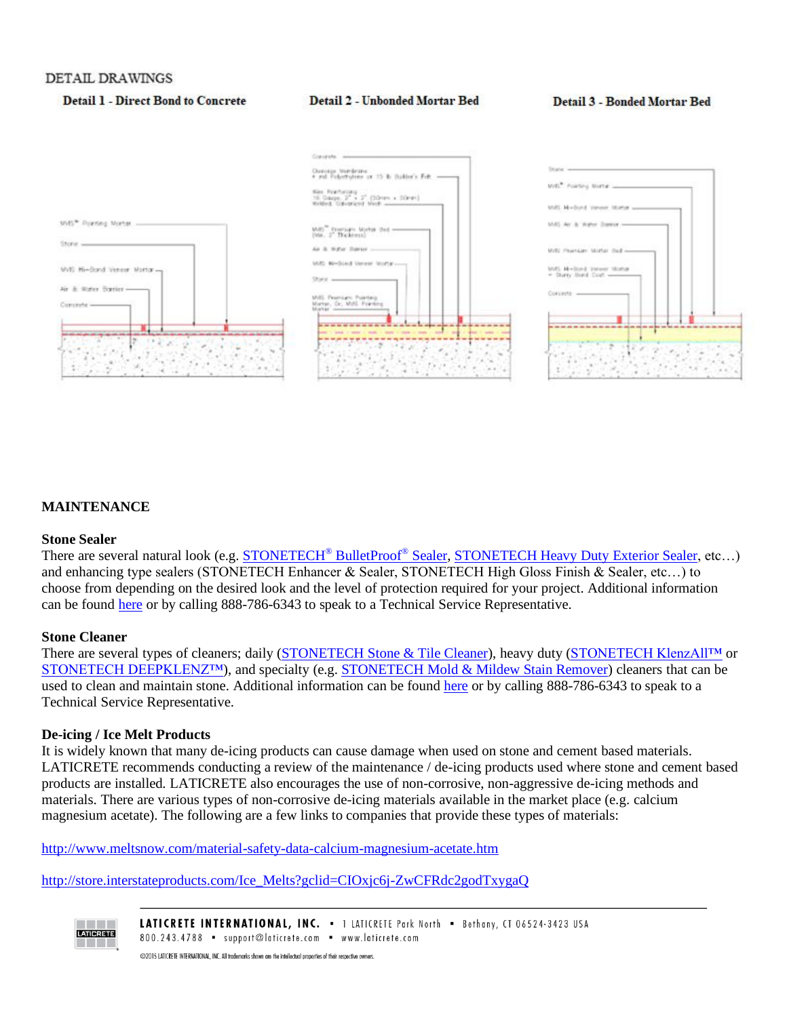#### DETAIL DRAWINGS

### **Detail 1 - Direct Bond to Concrete**

#### **Detail 2 - Unbonded Mortar Bed**

#### **Detail 3 - Bonded Mortar Bed**



#### **MAINTENANCE**

#### **Stone Sealer**

There are several natural look (e.g. **STONETECH<sup>®</sup> BulletProof<sup>®</sup> Sealer, [STONETECH](https://cdn.laticrete.com/~/media/product-documents/product-data-sheets/ds-282.ashx) Heavy Duty Exterior Sealer**, etc...) and enhancing type sealers (STONETECH Enhancer & Sealer, STONETECH High Gloss Finish & Sealer, etc…) to choose from depending on the desired look and the level of protection required for your project. Additional information can be found [here](https://laticrete.com/en/solution-center/featured-solutions/surface-care-and-maintenance/using-the-products/care-instructions-by-surface) or by calling 888-786-6343 to speak to a Technical Service Representative.

### **Stone Cleaner**

There are several types of cleaners; daily [\(STONETECH Stone & Tile Cleaner\)](https://cdn.laticrete.com/~/media/product-documents/product-data-sheets/ds-211.ashx), heavy duty [\(STONETECH KlenzAll™](https://cdn.laticrete.com/~/media/product-documents/product-data-sheets/ds-215.ashx) or STONETECH DEEPKLENZ<sup>TM</sup>), and specialty (e.g[. STONETECH Mold & Mildew Stain Remover\)](https://cdn.laticrete.com/~/media/product-documents/product-data-sheets/ds-219.ashx) cleaners that can be used to clean and maintain stone. Additional information can be found [here](https://laticrete.com/en/solution-center/featured-solutions/surface-care-and-maintenance/using-the-products/care-instructions-by-surface) or by calling 888-786-6343 to speak to a Technical Service Representative.

#### **De-icing / Ice Melt Products**

It is widely known that many de-icing products can cause damage when used on stone and cement based materials. LATICRETE recommends conducting a review of the maintenance / de-icing products used where stone and cement based products are installed. LATICRETE also encourages the use of non-corrosive, non-aggressive de-icing methods and materials. There are various types of non-corrosive de-icing materials available in the market place (e.g. calcium magnesium acetate). The following are a few links to companies that provide these types of materials:

<http://www.meltsnow.com/material-safety-data-calcium-magnesium-acetate.htm>

[http://store.interstateproducts.com/Ice\\_Melts?gclid=CIOxjc6j-ZwCFRdc2godTxygaQ](http://store.interstateproducts.com/Ice_Melts?gclid=CIOxjc6j-ZwCFRdc2godTxygaQ)